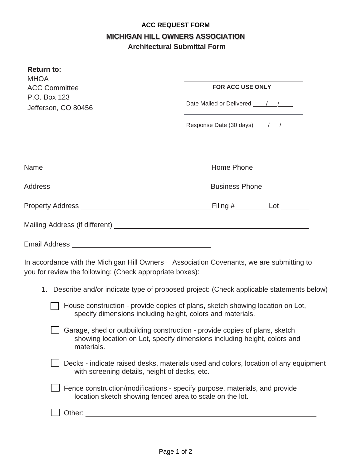## **ACC REQUEST FORM MICHIGAN HILL OWNERS ASSOCIATION Architectural Submittal Form**

| <b>Return to:</b><br><b>MHOA</b>                                                                                                                                                                                               |                                                                                                                                                               |
|--------------------------------------------------------------------------------------------------------------------------------------------------------------------------------------------------------------------------------|---------------------------------------------------------------------------------------------------------------------------------------------------------------|
| <b>ACC Committee</b>                                                                                                                                                                                                           | <b>FOR ACC USE ONLY</b>                                                                                                                                       |
| P.O. Box 123<br>Jefferson, CO 80456                                                                                                                                                                                            |                                                                                                                                                               |
|                                                                                                                                                                                                                                |                                                                                                                                                               |
|                                                                                                                                                                                                                                |                                                                                                                                                               |
|                                                                                                                                                                                                                                | Home Phone _______________                                                                                                                                    |
|                                                                                                                                                                                                                                | Business Phone ____________                                                                                                                                   |
|                                                                                                                                                                                                                                |                                                                                                                                                               |
|                                                                                                                                                                                                                                |                                                                                                                                                               |
|                                                                                                                                                                                                                                |                                                                                                                                                               |
| you for review the following: (Check appropriate boxes):                                                                                                                                                                       | In accordance with the Michigan Hill Owners = Association Covenants, we are submitting to                                                                     |
|                                                                                                                                                                                                                                | 1. Describe and/or indicate type of proposed project: (Check applicable statements below)                                                                     |
|                                                                                                                                                                                                                                | House construction - provide copies of plans, sketch showing location on Lot,<br>specify dimensions including height, colors and materials.                   |
| materials.                                                                                                                                                                                                                     | $\Box$ Garage, shed or outbuilding construction - provide copies of plans, sketch<br>showing location on Lot, specify dimensions including height, colors and |
| with screening details, height of decks, etc.                                                                                                                                                                                  | Decks - indicate raised desks, materials used and colors, location of any equipment                                                                           |
|                                                                                                                                                                                                                                | Fence construction/modifications - specify purpose, materials, and provide<br>location sketch showing fenced area to scale on the lot.                        |
| Other: when the contract of the contract of the contract of the contract of the contract of the contract of the contract of the contract of the contract of the contract of the contract of the contract of the contract of th |                                                                                                                                                               |